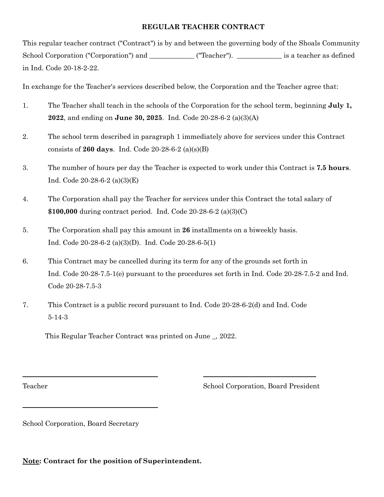# **REGULAR TEACHER CONTRACT**

This regular teacher contract ("Contract") is by and between the governing body of the Shoals Community School Corporation ("Corporation") and **\_\_\_\_\_\_\_\_\_\_\_\_\_** ("Teacher"). **\_\_\_\_\_\_\_\_\_\_\_\_\_** is a teacher as defined in Ind. Code 20-18-2-22.

In exchange for the Teacher's services described below, the Corporation and the Teacher agree that:

- 1. The Teacher shall teach in the schools of the Corporation for the school term, beginning **July 1, 2022**, and ending on **June 30, 2025**. Ind. Code 20-28-6-2 (a)(3)(A)
- 2. The school term described in paragraph 1 immediately above for services under this Contract consists of **260 days**. Ind. Code 20-28-6-2 (a)(s)(B)
- 3. The number of hours per day the Teacher is expected to work under this Contract is **7.5 hours**. Ind. Code 20-28-6-2 (a)(3)(E)
- 4. The Corporation shall pay the Teacher for services under this Contract the total salary of **\$100,000** during contract period. Ind. Code 20-28-6-2 (a)(3)(C)
- 5. The Corporation shall pay this amount in **26** installments on a biweekly basis. Ind. Code 20-28-6-2 (a)(3)(D). Ind. Code 20-28-6-5(1)
- 6. This Contract may be cancelled during its term for any of the grounds set forth in Ind. Code 20-28-7.5-1(e) pursuant to the procedures set forth in Ind. Code 20-28-7.5-2 and Ind. Code 20-28-7.5-3
- 7. This Contract is a public record pursuant to Ind. Code 20-28-6-2(d) and Ind. Code 5-14-3

This Regular Teacher Contract was printed on June \_, 2022.

Teacher School Corporation, Board President

School Corporation, Board Secretary

**Note: Contract for the position of Superintendent.**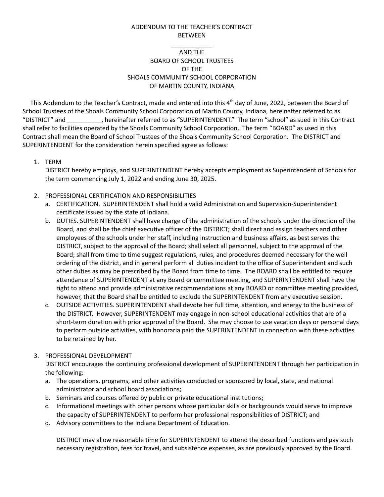#### ADDENDUM TO THE TEACHER'S CONTRACT BETWEEN

# \_\_\_\_\_\_\_\_\_\_\_\_ AND THE BOARD OF SCHOOL TRUSTEES OF THE SHOALS COMMUNITY SCHOOL CORPORATION OF MARTIN COUNTY, INDIANA

This Addendum to the Teacher's Contract, made and entered into this 4<sup>th</sup> day of June, 2022, between the Board of School Trustees of the Shoals Community School Corporation of Martin County, Indiana, hereinafter referred to as "DISTRICT" and \_\_\_\_\_\_\_\_\_\_, hereinafter referred to as "SUPERINTENDENT." The term "school" as sued in this Contract shall refer to facilities operated by the Shoals Community School Corporation. The term "BOARD" as used in this Contract shall mean the Board of School Trustees of the Shoals Community School Corporation. The DISTRICT and SUPERINTENDENT for the consideration herein specified agree as follows:

1. TERM

DISTRICT hereby employs, and SUPERINTENDENT hereby accepts employment as Superintendent of Schools for the term commencing July 1, 2022 and ending June 30, 2025.

# 2. PROFESSIONAL CERTIFICATION AND RESPONSIBILITIES

- a. CERTIFICATION. SUPERINTENDENT shall hold a valid Administration and Supervision-Superintendent certificate issued by the state of Indiana.
- b. DUTIES. SUPERINTENDENT shall have charge of the administration of the schools under the direction of the Board, and shall be the chief executive officer of the DISTRICT; shall direct and assign teachers and other employees of the schools under her staff, including instruction and business affairs, as best serves the DISTRICT, subject to the approval of the Board; shall select all personnel, subject to the approval of the Board; shall from time to time suggest regulations, rules, and procedures deemed necessary for the well ordering of the district, and in general perform all duties incident to the office of Superintendent and such other duties as may be prescribed by the Board from time to time. The BOARD shall be entitled to require attendance of SUPERINTENDENT at any Board or committee meeting, and SUPERINTENDENT shall have the right to attend and provide administrative recommendations at any BOARD or committee meeting provided, however, that the Board shall be entitled to exclude the SUPERINTENDENT from any executive session.
- c. OUTSIDE ACTIVITIES. SUPERINTENDENT shall devote her full time, attention, and energy to the business of the DISTRICT. However, SUPERINTENDENT may engage in non-school educational activities that are of a short-term duration with prior approval of the Board. She may choose to use vacation days or personal days to perform outside activities, with honoraria paid the SUPERINTENDENT in connection with these activities to be retained by her.

#### 3. PROFESSIONAL DEVELOPMENT

DISTRICT encourages the continuing professional development of SUPERINTENDENT through her participation in the following:

- a. The operations, programs, and other activities conducted or sponsored by local, state, and national administrator and school board associations;
- b. Seminars and courses offered by public or private educational institutions;
- c. Informational meetings with other persons whose particular skills or backgrounds would serve to improve the capacity of SUPERINTENDENT to perform her professional responsibilities of DISTRICT; and
- d. Advisory committees to the Indiana Department of Education.

DISTRICT may allow reasonable time for SUPERINTENDENT to attend the described functions and pay such necessary registration, fees for travel, and subsistence expenses, as are previously approved by the Board.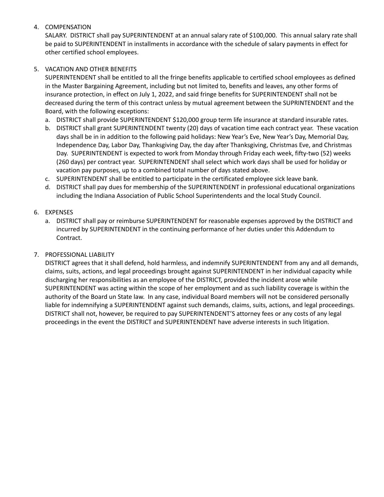# 4. COMPENSATION

SALARY. DISTRICT shall pay SUPERINTENDENT at an annual salary rate of \$100,000. This annual salary rate shall be paid to SUPERINTENDENT in installments in accordance with the schedule of salary payments in effect for other certified school employees.

# 5. VACATION AND OTHER BENEFITS

SUPERINTENDENT shall be entitled to all the fringe benefits applicable to certified school employees as defined in the Master Bargaining Agreement, including but not limited to, benefits and leaves, any other forms of insurance protection, in effect on July 1, 2022, and said fringe benefits for SUPERINTENDENT shall not be decreased during the term of this contract unless by mutual agreement between the SUPRINTENDENT and the Board, with the following exceptions:

- a. DISTRICT shall provide SUPERINTENDENT \$120,000 group term life insurance at standard insurable rates.
- b. DISTRICT shall grant SUPERINTENDENT twenty (20) days of vacation time each contract year. These vacation days shall be in in addition to the following paid holidays: New Year's Eve, New Year's Day, Memorial Day, Independence Day, Labor Day, Thanksgiving Day, the day after Thanksgiving, Christmas Eve, and Christmas Day. SUPERINTENDENT is expected to work from Monday through Friday each week, fifty-two (52) weeks (260 days) per contract year. SUPERINTENDENT shall select which work days shall be used for holiday or vacation pay purposes, up to a combined total number of days stated above.
- c. SUPERINTENDENT shall be entitled to participate in the certificated employee sick leave bank.
- d. DISTRICT shall pay dues for membership of the SUPERINTENDENT in professional educational organizations including the Indiana Association of Public School Superintendents and the local Study Council.

# 6. EXPENSES

a. DISTRICT shall pay or reimburse SUPERINTENDENT for reasonable expenses approved by the DISTRICT and incurred by SUPERINTENDENT in the continuing performance of her duties under this Addendum to Contract.

# 7. PROFESSIONAL LIABILITY

DISTRICT agrees that it shall defend, hold harmless, and indemnify SUPERINTENDENT from any and all demands, claims, suits, actions, and legal proceedings brought against SUPERINTENDENT in her individual capacity while discharging her responsibilities as an employee of the DISTRICT, provided the incident arose while SUPERINTENDENT was acting within the scope of her employment and as such liability coverage is within the authority of the Board un State law. In any case, individual Board members will not be considered personally liable for indemnifying a SUPERINTENDENT against such demands, claims, suits, actions, and legal proceedings. DISTRICT shall not, however, be required to pay SUPERINTENDENT'S attorney fees or any costs of any legal proceedings in the event the DISTRICT and SUPERINTENDENT have adverse interests in such litigation.